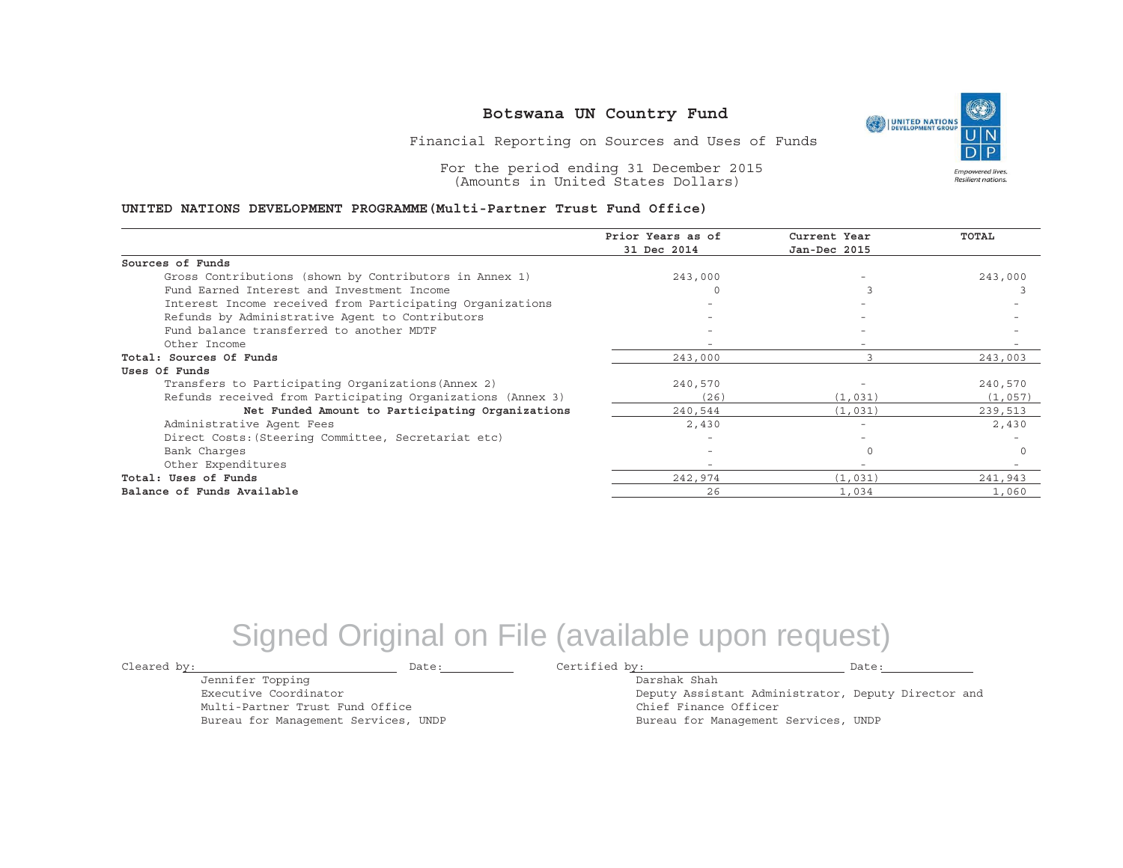UNITED NATIONS **Empowered lives** Resilient nations.

Financial Reporting on Sources and Uses of Funds

For the period ending 31 December 2015 (Amounts in United States Dollars)

#### **UNITED NATIONS DEVELOPMENT PROGRAMME(Multi-Partner Trust Fund Office)**

|                                                             | Prior Years as of<br>31 Dec 2014 | Current Year<br>Jan-Dec 2015 | <b>TOTAL</b> |
|-------------------------------------------------------------|----------------------------------|------------------------------|--------------|
| Sources of Funds                                            |                                  |                              |              |
| Gross Contributions (shown by Contributors in Annex 1)      | 243,000                          |                              | 243,000      |
| Fund Earned Interest and Investment Income                  |                                  |                              |              |
| Interest Income received from Participating Organizations   |                                  |                              |              |
| Refunds by Administrative Agent to Contributors             |                                  | $\overline{\phantom{0}}$     |              |
| Fund balance transferred to another MDTF                    |                                  |                              |              |
| Other Income                                                |                                  |                              |              |
| Total: Sources Of Funds                                     | 243,000                          |                              | 243,003      |
| Uses Of Funds                                               |                                  |                              |              |
| Transfers to Participating Organizations (Annex 2)          | 240,570                          |                              | 240,570      |
| Refunds received from Participating Organizations (Annex 3) | (26)                             | (1, 031)                     | (1,057)      |
| Net Funded Amount to Participating Organizations            | 240,544                          | (1, 031)                     | 239,513      |
| Administrative Agent Fees                                   | 2,430                            |                              | 2,430        |
| Direct Costs: (Steering Committee, Secretariat etc)         |                                  |                              |              |
| Bank Charges                                                |                                  |                              | $\Omega$     |
| Other Expenditures                                          |                                  | $-$                          |              |
| Total: Uses of Funds                                        | 242,974                          | (1, 031)                     | 241,943      |
| Balance of Funds Available                                  | 26                               | 1,034                        | 1,060        |

## Signed Original on File (available upon request)

Cleared by: Date: Certified by: Date:

Jennifer Topping Executive Coordinator

Multi-Partner Trust Fund Office Bureau for Management Services, UNDP

Darshak ShahDeputy Assistant Administrator, Deputy Director and Chief Finance Officer Bureau for Management Services, UNDP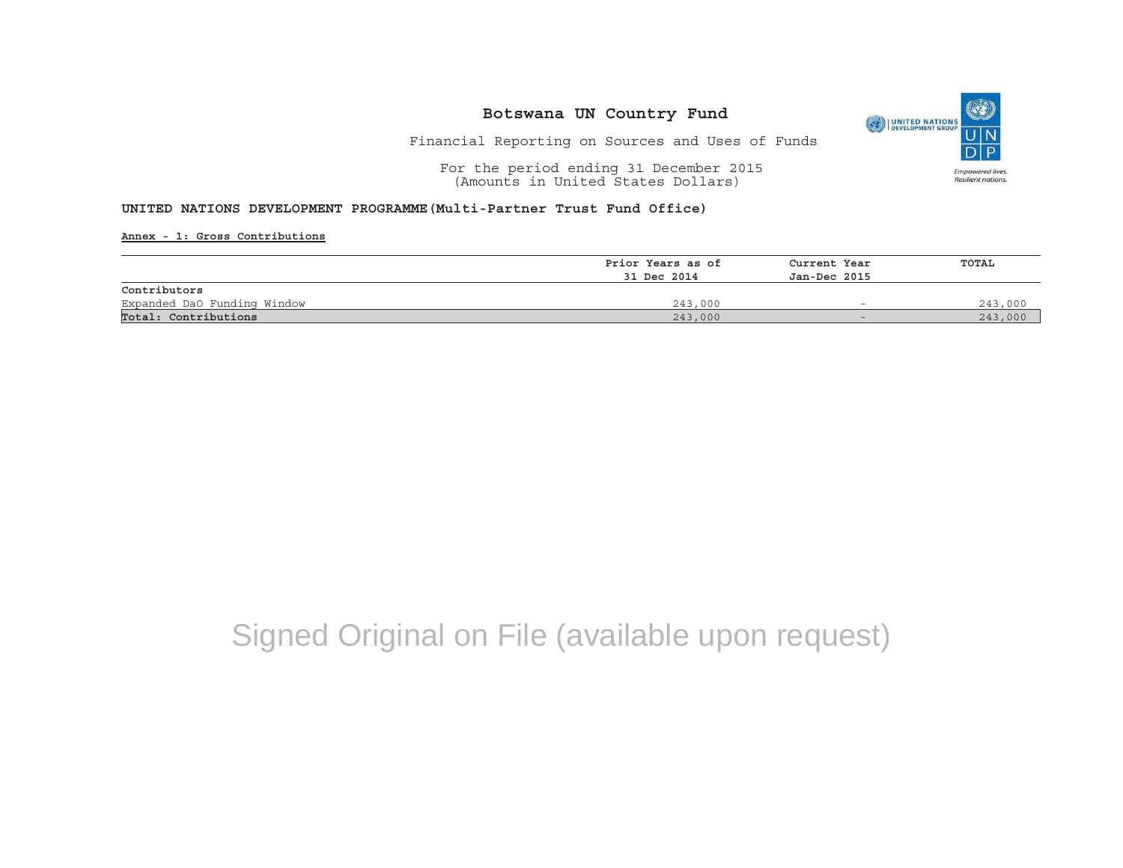

### Financial Reporting on Sources and Uses of Funds

For the period ending 31 December 2015 (Amounts in United States Dollars)

### **UNITED NATIONS DEVELOPMENT PROGRAMME(Multi-Partner Trust Fund Office)**

**Annex - 1: Gross Contributions**

|                             | Prior Years as of | Current Year<br>Jan-Dec 2015 | <b>TOTAL</b> |
|-----------------------------|-------------------|------------------------------|--------------|
|                             | 31 Dec 2014       |                              |              |
| Contributors                |                   |                              |              |
| Expanded DaO Funding Window | 243,000           | $\overline{\phantom{0}}$     | 243,000      |
| Total: Contributions        | 243,000           | $-$                          | 243,000      |

# Signed Original on File (available upon request)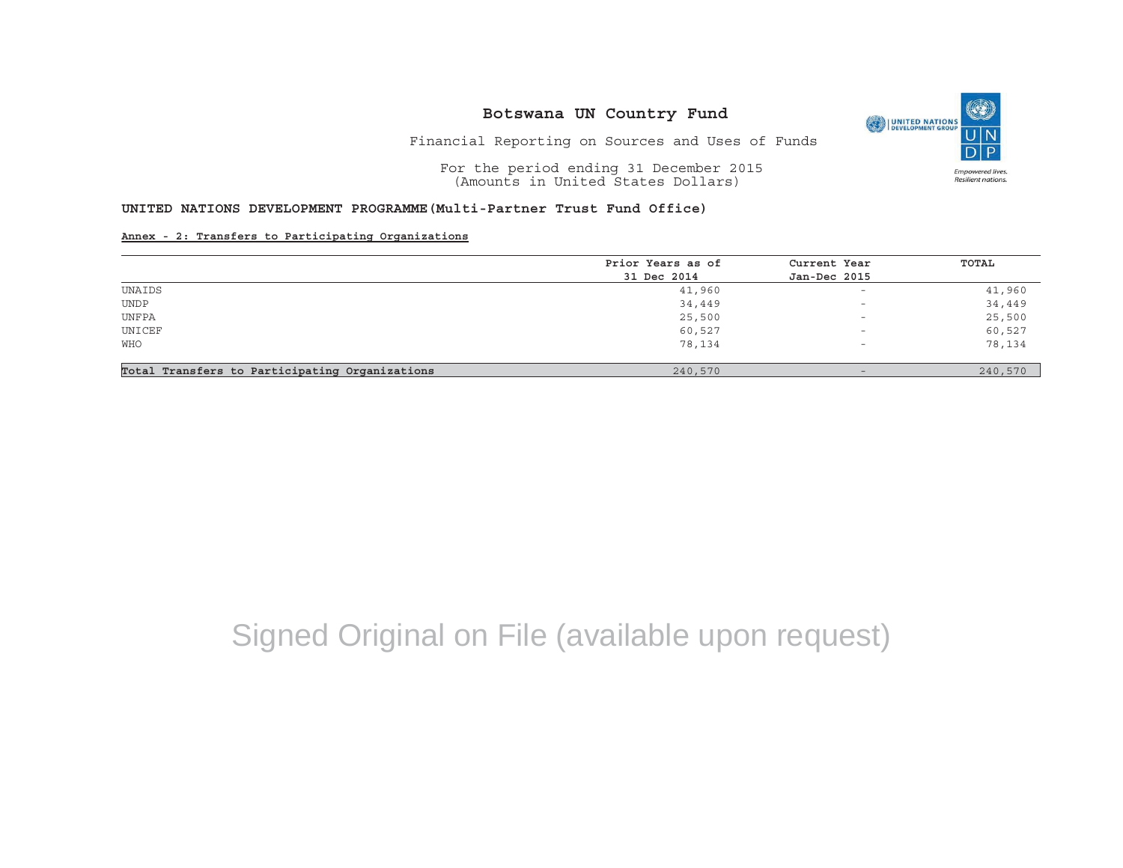

Financial Reporting on Sources and Uses of Funds

For the period ending 31 December 2015 (Amounts in United States Dollars)

## **UNITED NATIONS DEVELOPMENT PROGRAMME(Multi-Partner Trust Fund Office)**

#### **Annex - 2: Transfers to Participating Organizations**

|                                                | Prior Years as of | Current Year             | TOTAL   |
|------------------------------------------------|-------------------|--------------------------|---------|
|                                                | 31 Dec 2014       | Jan-Dec 2015             |         |
| UNAIDS                                         | 41,960            | $\overline{\phantom{0}}$ | 41,960  |
| <b>UNDP</b>                                    | 34,449            | $\overline{\phantom{0}}$ | 34,449  |
| UNFPA                                          | 25,500            | $\overline{\phantom{0}}$ | 25,500  |
| UNICEF                                         | 60,527            | $\overline{\phantom{0}}$ | 60,527  |
| <b>WHO</b>                                     | 78,134            | $\overline{\phantom{0}}$ | 78,134  |
| Total Transfers to Participating Organizations | 240,570           | $\overline{\phantom{0}}$ | 240,570 |

# Signed Original on File (available upon request)